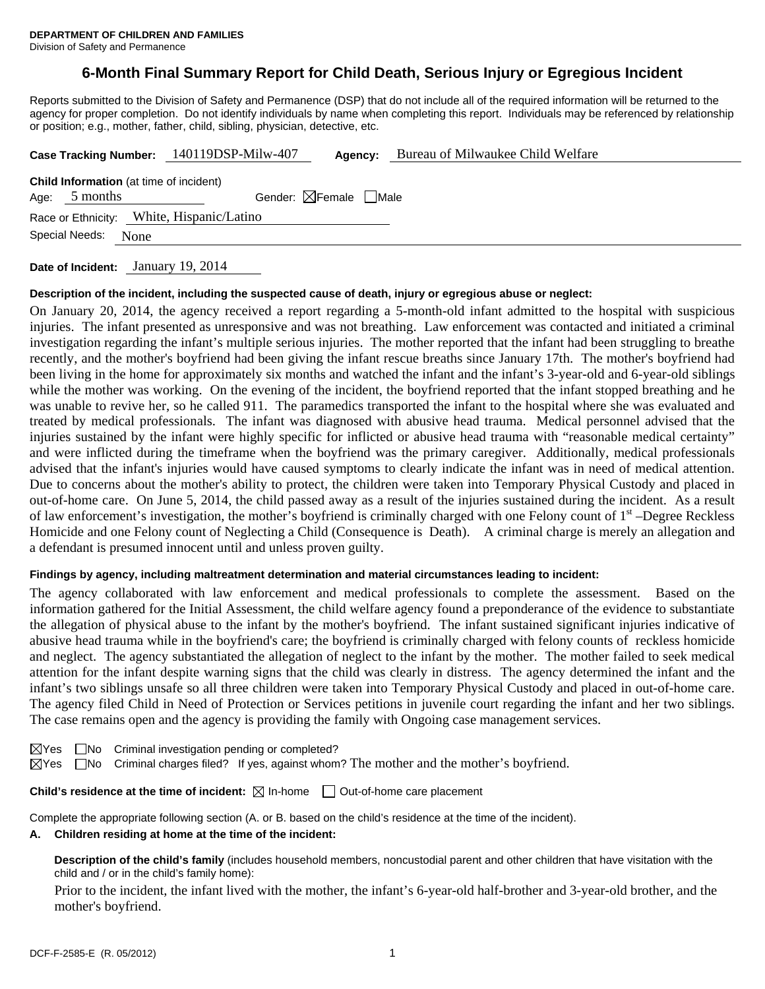# **6-Month Final Summary Report for Child Death, Serious Injury or Egregious Incident**

Reports submitted to the Division of Safety and Permanence (DSP) that do not include all of the required information will be returned to the agency for proper completion. Do not identify individuals by name when completing this report. Individuals may be referenced by relationship or position; e.g., mother, father, child, sibling, physician, detective, etc.

|                                                                                                              |      | Case Tracking Number: 140119DSP-Milw-407 | Agency: | Bureau of Milwaukee Child Welfare |  |  |  |  |
|--------------------------------------------------------------------------------------------------------------|------|------------------------------------------|---------|-----------------------------------|--|--|--|--|
| <b>Child Information</b> (at time of incident)<br>Gender: $\boxtimes$ Female $\Box$ Male<br>5 months<br>Age: |      |                                          |         |                                   |  |  |  |  |
| Race or Ethnicity: White, Hispanic/Latino                                                                    |      |                                          |         |                                   |  |  |  |  |
| Special Needs:                                                                                               | None |                                          |         |                                   |  |  |  |  |
|                                                                                                              |      |                                          |         |                                   |  |  |  |  |

**Date of Incident:** January 19, 2014

#### **Description of the incident, including the suspected cause of death, injury or egregious abuse or neglect:**

On January 20, 2014, the agency received a report regarding a 5-month-old infant admitted to the hospital with suspicious injuries. The infant presented as unresponsive and was not breathing. Law enforcement was contacted and initiated a criminal investigation regarding the infant's multiple serious injuries. The mother reported that the infant had been struggling to breathe recently, and the mother's boyfriend had been giving the infant rescue breaths since January 17th. The mother's boyfriend had been living in the home for approximately six months and watched the infant and the infant's 3-year-old and 6-year-old siblings while the mother was working. On the evening of the incident, the boyfriend reported that the infant stopped breathing and he was unable to revive her, so he called 911. The paramedics transported the infant to the hospital where she was evaluated and treated by medical professionals. The infant was diagnosed with abusive head trauma. Medical personnel advised that the injuries sustained by the infant were highly specific for inflicted or abusive head trauma with "reasonable medical certainty" and were inflicted during the timeframe when the boyfriend was the primary caregiver. Additionally, medical professionals advised that the infant's injuries would have caused symptoms to clearly indicate the infant was in need of medical attention. Due to concerns about the mother's ability to protect, the children were taken into Temporary Physical Custody and placed in out-of-home care. On June 5, 2014, the child passed away as a result of the injuries sustained during the incident. As a result of law enforcement's investigation, the mother's boyfriend is criminally charged with one Felony count of 1st –Degree Reckless Homicide and one Felony count of Neglecting a Child (Consequence is Death). A criminal charge is merely an allegation and a defendant is presumed innocent until and unless proven guilty.

#### **Findings by agency, including maltreatment determination and material circumstances leading to incident:**

The agency collaborated with law enforcement and medical professionals to complete the assessment. Based on the information gathered for the Initial Assessment, the child welfare agency found a preponderance of the evidence to substantiate the allegation of physical abuse to the infant by the mother's boyfriend. The infant sustained significant injuries indicative of abusive head trauma while in the boyfriend's care; the boyfriend is criminally charged with felony counts of reckless homicide and neglect. The agency substantiated the allegation of neglect to the infant by the mother. The mother failed to seek medical attention for the infant despite warning signs that the child was clearly in distress. The agency determined the infant and the infant's two siblings unsafe so all three children were taken into Temporary Physical Custody and placed in out-of-home care. The agency filed Child in Need of Protection or Services petitions in juvenile court regarding the infant and her two siblings. The case remains open and the agency is providing the family with Ongoing case management services.

 $\boxtimes$ Yes  $\Box$ No Criminal investigation pending or completed?

 $\boxtimes$  Yes  $\Box$  No Criminal charges filed? If yes, against whom? The mother and the mother's boyfriend.

**Child's residence at the time of incident:**  $\boxtimes$  In-home  $\Box$  Out-of-home care placement

Complete the appropriate following section (A. or B. based on the child's residence at the time of the incident).

#### **A. Children residing at home at the time of the incident:**

**Description of the child's family** (includes household members, noncustodial parent and other children that have visitation with the child and / or in the child's family home):

 Prior to the incident, the infant lived with the mother, the infant's 6-year-old half-brother and 3-year-old brother, and the mother's boyfriend.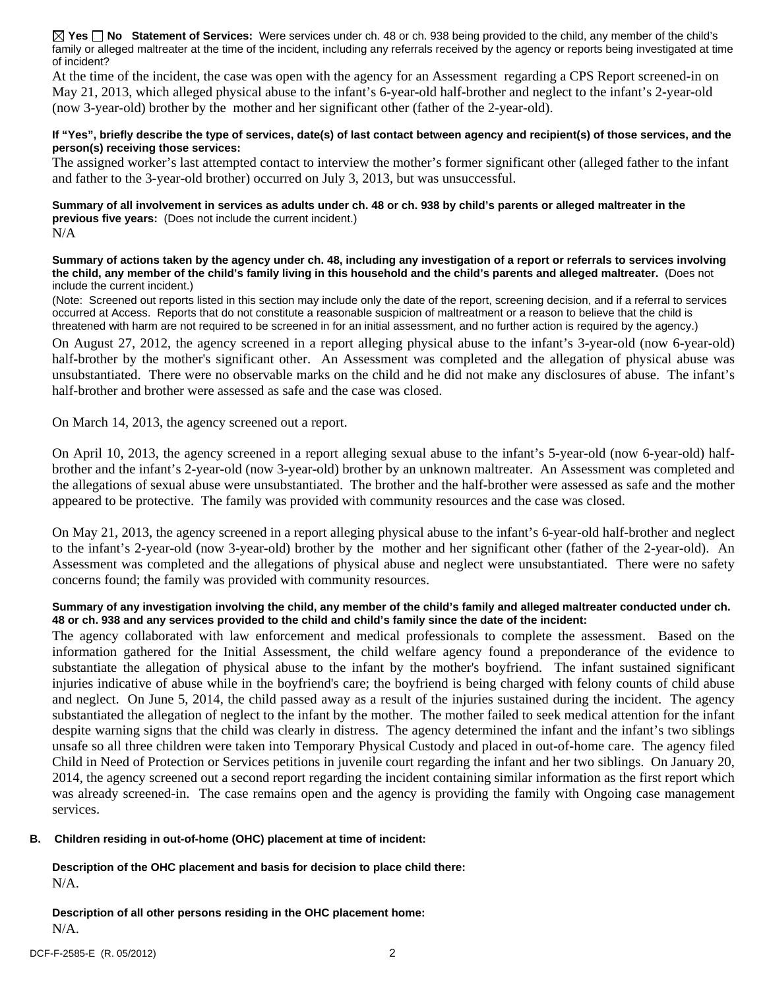**Yes No Statement of Services:** Were services under ch. 48 or ch. 938 being provided to the child, any member of the child's family or alleged maltreater at the time of the incident, including any referrals received by the agency or reports being investigated at time of incident?

At the time of the incident, the case was open with the agency for an Assessment regarding a CPS Report screened-in on May 21, 2013, which alleged physical abuse to the infant's 6-year-old half-brother and neglect to the infant's 2-year-old (now 3-year-old) brother by the mother and her significant other (father of the 2-year-old).

#### **If "Yes", briefly describe the type of services, date(s) of last contact between agency and recipient(s) of those services, and the person(s) receiving those services:**

The assigned worker's last attempted contact to interview the mother's former significant other (alleged father to the infant and father to the 3-year-old brother) occurred on July 3, 2013, but was unsuccessful.

**Summary of all involvement in services as adults under ch. 48 or ch. 938 by child's parents or alleged maltreater in the previous five years:** (Does not include the current incident.) N/A

**Summary of actions taken by the agency under ch. 48, including any investigation of a report or referrals to services involving the child, any member of the child's family living in this household and the child's parents and alleged maltreater.** (Does not include the current incident.)

(Note: Screened out reports listed in this section may include only the date of the report, screening decision, and if a referral to services occurred at Access. Reports that do not constitute a reasonable suspicion of maltreatment or a reason to believe that the child is threatened with harm are not required to be screened in for an initial assessment, and no further action is required by the agency.)

On August 27, 2012, the agency screened in a report alleging physical abuse to the infant's 3-year-old (now 6-year-old) half-brother by the mother's significant other. An Assessment was completed and the allegation of physical abuse was unsubstantiated. There were no observable marks on the child and he did not make any disclosures of abuse. The infant's half-brother and brother were assessed as safe and the case was closed.

On March 14, 2013, the agency screened out a report.

On April 10, 2013, the agency screened in a report alleging sexual abuse to the infant's 5-year-old (now 6-year-old) halfbrother and the infant's 2-year-old (now 3-year-old) brother by an unknown maltreater. An Assessment was completed and the allegations of sexual abuse were unsubstantiated. The brother and the half-brother were assessed as safe and the mother appeared to be protective. The family was provided with community resources and the case was closed.

On May 21, 2013, the agency screened in a report alleging physical abuse to the infant's 6-year-old half-brother and neglect to the infant's 2-year-old (now 3-year-old) brother by the mother and her significant other (father of the 2-year-old). An Assessment was completed and the allegations of physical abuse and neglect were unsubstantiated. There were no safety concerns found; the family was provided with community resources.

## **Summary of any investigation involving the child, any member of the child's family and alleged maltreater conducted under ch. 48 or ch. 938 and any services provided to the child and child's family since the date of the incident:**

The agency collaborated with law enforcement and medical professionals to complete the assessment. Based on the information gathered for the Initial Assessment, the child welfare agency found a preponderance of the evidence to substantiate the allegation of physical abuse to the infant by the mother's boyfriend. The infant sustained significant injuries indicative of abuse while in the boyfriend's care; the boyfriend is being charged with felony counts of child abuse and neglect. On June 5, 2014, the child passed away as a result of the injuries sustained during the incident. The agency substantiated the allegation of neglect to the infant by the mother. The mother failed to seek medical attention for the infant despite warning signs that the child was clearly in distress. The agency determined the infant and the infant's two siblings unsafe so all three children were taken into Temporary Physical Custody and placed in out-of-home care. The agency filed Child in Need of Protection or Services petitions in juvenile court regarding the infant and her two siblings. On January 20, 2014, the agency screened out a second report regarding the incident containing similar information as the first report which was already screened-in. The case remains open and the agency is providing the family with Ongoing case management services.

## **B. Children residing in out-of-home (OHC) placement at time of incident:**

**Description of the OHC placement and basis for decision to place child there:** N/A.

**Description of all other persons residing in the OHC placement home:** N/A.